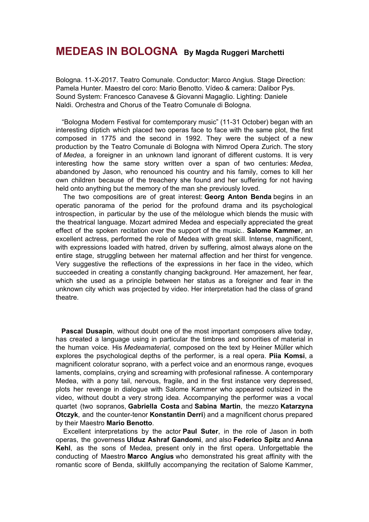## **MEDEAS IN BOLOGNA By Magda Ruggeri Marchetti**

Bologna. 11-X-2017. Teatro Comunale. Conductor: Marco Angius. Stage Direction: Pamela Hunter. Maestro del coro: Mario Benotto. Vídeo & camera: Dalibor Pys. Sound System: Francesco Canavese & Giovanni Magaglio. Lighting: Daniele Naldi. Orchestra and Chorus of the Teatro Comunale di Bologna.

"Bologna Modern Festival for comtemporary music" (11-31 October) began with an interesting díptich which placed two operas face to face with the same plot, the first composed in 1775 and the second in 1992. They were the subject of a new production by the Teatro Comunale di Bologna with Nimrod Opera Zurich. The story of *Medea*, a foreigner in an unknown land ignorant of different customs. It is very interesting how the same story written over a span of two centuries: *Medea*, abandoned by Jason, who renounced his country and his family, comes to kill her own children because of the treachery she found and her suffering for not having held onto anything but the memory of the man she previously loved.

The two compositions are of great interest: **Georg Anton Benda** begins in an operatic panorama of the period for the profound drama and its psychological introspection, in particular by the use of the mélologue which blends the music with the theatrical language. Mozart admired Medea and especially appreciated the great effect of the spoken recitation over the support of the music.. **Salome Kammer**, an excellent actress, performed the role of Medea with great skill. Intense, magníficent, with expressions loaded with hatred, driven by suffering, almost always alone on the entire stage, struggling between her maternal affection and her thirst for vengence. Very suggestive the reflections of the expressions in her face in the video, which succeeded in creating a constantly changing background. Her amazement, her fear, which she used as a principle between her status as a foreigner and fear in the unknown city which was projected by video. Her interpretation had the class of grand theatre.

**Pascal Dusapin**, without doubt one of the most important composers alive today, has created a language using in particular the timbres and sonorities of material in the human voice. His *Medeamaterial*, composed on the text by Heiner Müller which explores the psychological depths of the performer, is a real opera. **Piia Komsi**, a magnificent coloratur soprano, with a perfect voice and an enormous range, evoques laments, complains, crying and screaming with profesional rafinesse. A contemporary Medea, with a pony tail, nervous, fragile, and in the first instance very depressed, plots her revenge in dialogue with Salome Kammer who appeared outsized in the video, without doubt a very strong idea. Accompanying the performer was a vocal quartet (two sopranos, **Gabriella Costa** and **Sabina Martin**, the mezzo **Katarzyna Otczyk**, and the counter-tenor **Konstantin Derri**) and a magníficent chorus prepared by their Maestro **Mario Benotto**.

Excellent interpretations by the actor **Paul Suter**, in the role of Jason in both operas, the governess **Ulduz Ashraf Gandomi**, and also **Federico Spitz** and **Anna Kehl**, as the sons of Medea, present only in the first opera. Unforgettable the conducting of Maestro **Marco Angius** who demonstrated his great affinity with the romantic score of Benda, skillfully accompanying the recitation of Salome Kammer,